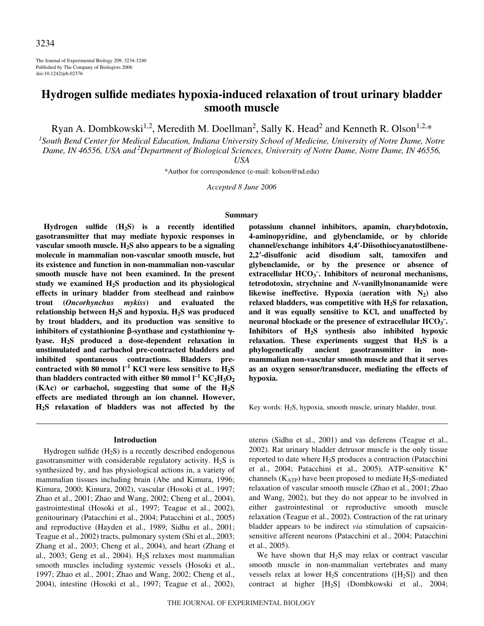The Journal of Experimental Biology 209, 3234-3240 Published by The Company of Biologists 2006 doi:10.1242/jeb.02376

# **Hydrogen sulfide mediates hypoxia-induced relaxation of trout urinary bladder smooth muscle**

Ryan A. Dombkowski<sup>1,2</sup>, Meredith M. Doellman<sup>2</sup>, Sally K. Head<sup>2</sup> and Kenneth R. Olson<sup>1,2,\*</sup>

*1 South Bend Center for Medical Education, Indiana University School of Medicine, University of Notre Dame, Notre* Dame, IN 46556, USA and<sup>2</sup> Department of Biological Sciences, University of Notre Dame, Notre Dame, IN 46556,

*USA*

\*Author for correspondence (e-mail: kolson@nd.edu)

*Accepted 8 June 2006*

#### **Summary**

**Hydrogen sulfide (H2S) is a recently identified gasotransmitter that may mediate hypoxic responses in vascular smooth muscle. H2S also appears to be a signaling molecule in mammalian non-vascular smooth muscle, but its existence and function in non-mammalian non-vascular smooth muscle have not been examined. In the present study we examined H2S production and its physiological effects in urinary bladder from steelhead and rainbow trout (***Oncorhynchus mykiss***) and evaluated the** relationship between H<sub>2</sub>S and hypoxia. H<sub>2</sub>S was produced **by trout bladders, and its production was sensitive to** inhibitors of cystathionine β-synthase and cystathionine γ**lyase. H2S produced a dose-dependent relaxation in unstimulated and carbachol pre-contracted bladders and inhibited spontaneous contractions. Bladders pre**contracted with 80 mmol  $I^{-1}$  KCl were less sensitive to  $H_2S$  ${\rm th}$ an bladders contracted with either  $80$  mmol l<sup>-1</sup>  ${\rm KC}_2{\rm H}_3{\rm O}_2$ **(KAc) or carbachol, suggesting that some of the H2S effects are mediated through an ion channel. However, H2S relaxation of bladders was not affected by the**

## **Introduction**

Hydrogen sulfide  $(H_2S)$  is a recently described endogenous gasotransmitter with considerable regulatory activity.  $H_2S$  is synthesized by, and has physiological actions in, a variety of mammalian tissues including brain (Abe and Kimura, 1996; Kimura, 2000; Kimura, 2002), vascular (Hosoki et al., 1997; Zhao et al., 2001; Zhao and Wang, 2002; Cheng et al., 2004), gastrointestinal (Hosoki et al., 1997; Teague et al., 2002), genitourinary (Patacchini et al., 2004; Patacchini et al., 2005) and reproductive (Hayden et al., 1989; Sidhu et al., 2001; Teague et al., 2002) tracts, pulmonary system (Shi et al., 2003; Zhang et al., 2003; Cheng et al., 2004), and heart (Zhang et al., 2003; Geng et al., 2004).  $H<sub>2</sub>S$  relaxes most mammalian smooth muscles including systemic vessels (Hosoki et al., 1997; Zhao et al., 2001; Zhao and Wang, 2002; Cheng et al., 2004), intestine (Hosoki et al., 1997; Teague et al., 2002), **potassium channel inhibitors, apamin, charybdotoxin, 4-aminopyridine, and glybenclamide, or by chloride channel/exchange inhibitors 4,4-Diisothiocyanatostilbene-2,2-disulfonic acid disodium salt, tamoxifen and glybenclamide, or by the presence or absence of extracellular HCO3 – . Inhibitors of neuronal mechanisms, tetrodotoxin, strychnine and** *N***-vanillylnonanamide were likewise ineffective. Hypoxia (aeration with N2) also relaxed bladders, was competitive with H2S for relaxation, and it was equally sensitive to KCl, and unaffected by neuronal blockade or the presence of extracellular HCO3 – . Inhibitors of H2S synthesis also inhibited hypoxic relaxation. These experiments suggest that H2S is a phylogenetically ancient gasotransmitter in nonmammalian non-vascular smooth muscle and that it serves as an oxygen sensor/transducer, mediating the effects of hypoxia.**

Key words: H2S, hypoxia, smooth muscle, urinary bladder, trout.

uterus (Sidhu et al., 2001) and vas deferens (Teague et al., 2002). Rat urinary bladder detrusor muscle is the only tissue reported to date where  $H_2S$  produces a contraction (Patacchini et al., 2004; Patacchini et al., 2005). ATP-sensitive K<sup>+</sup> channels ( $K_{ATP}$ ) have been proposed to mediate  $H_2S$ -mediated relaxation of vascular smooth muscle (Zhao et al., 2001; Zhao and Wang, 2002), but they do not appear to be involved in either gastrointestinal or reproductive smooth muscle relaxation (Teague et al., 2002). Contraction of the rat urinary bladder appears to be indirect *via* stimulation of capsaicinsensitive afferent neurons (Patacchini et al., 2004; Patacchini et al., 2005).

We have shown that  $H_2S$  may relax or contract vascular smooth muscle in non-mammalian vertebrates and many vessels relax at lower  $H_2S$  concentrations ( $[H_2S]$ ) and then contract at higher [H2S] (Dombkowski et al., 2004;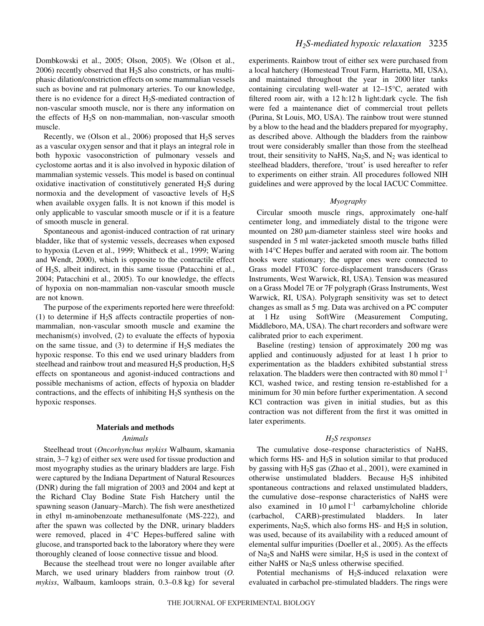Dombkowski et al., 2005; Olson, 2005). We (Olson et al.,  $2006$ ) recently observed that  $H_2S$  also constricts, or has multiphasic dilation/constriction effects on some mammalian vessels such as bovine and rat pulmonary arteries. To our knowledge, there is no evidence for a direct  $H_2S$ -mediated contraction of non-vascular smooth muscle, nor is there any information on the effects of  $H_2S$  on non-mammalian, non-vascular smooth muscle.

Recently, we (Olson et al., 2006) proposed that  $H_2S$  serves as a vascular oxygen sensor and that it plays an integral role in both hypoxic vasoconstriction of pulmonary vessels and cyclostome aortas and it is also involved in hypoxic dilation of mammalian systemic vessels. This model is based on continual oxidative inactivation of constitutively generated  $H_2S$  during normoxia and the development of vasoactive levels of  $H_2S$ when available oxygen falls. It is not known if this model is only applicable to vascular smooth muscle or if it is a feature of smooth muscle in general.

Spontaneous and agonist-induced contraction of rat urinary bladder, like that of systemic vessels, decreases when exposed to hypoxia (Leven et al., 1999; Whitbeck et al., 1999; Waring and Wendt, 2000), which is opposite to the contractile effect of H2S, albeit indirect, in this same tissue (Patacchini et al., 2004; Patacchini et al., 2005). To our knowledge, the effects of hypoxia on non-mammalian non-vascular smooth muscle are not known.

The purpose of the experiments reported here were threefold: (1) to determine if  $H_2S$  affects contractile properties of nonmammalian, non-vascular smooth muscle and examine the mechanism(s) involved, (2) to evaluate the effects of hypoxia on the same tissue, and (3) to determine if  $H_2S$  mediates the hypoxic response. To this end we used urinary bladders from steelhead and rainbow trout and measured  $H_2S$  production,  $H_2S$ effects on spontaneous and agonist-induced contractions and possible mechanisms of action, effects of hypoxia on bladder contractions, and the effects of inhibiting  $H_2S$  synthesis on the hypoxic responses.

#### **Materials and methods**

#### *Animals*

Steelhead trout (*Oncorhynchus mykiss* Walbaum, skamania strain, 3–7 kg) of either sex were used for tissue production and most myography studies as the urinary bladders are large. Fish were captured by the Indiana Department of Natural Resources (DNR) during the fall migration of 2003 and 2004 and kept at the Richard Clay Bodine State Fish Hatchery until the spawning season (January–March). The fish were anesthetized in ethyl m-aminobenzoate methanesulfonate (MS-222), and after the spawn was collected by the DNR, urinary bladders were removed, placed in 4°C Hepes-buffered saline with glucose, and transported back to the laboratory where they were thoroughly cleaned of loose connective tissue and blood.

Because the steelhead trout were no longer available after March, we used urinary bladders from rainbow trout (*O.* mykiss, Walbaum, kamloops strain, 0.3-0.8 kg) for several experiments. Rainbow trout of either sex were purchased from a local hatchery (Homestead Trout Farm, Harrietta, MI, USA), and maintained throughout the year in 2000 liter tanks containing circulating well-water at 12–15°C, aerated with filtered room air, with a  $12 h:12 h$  light:dark cycle. The fish were fed a maintenance diet of commercial trout pellets (Purina, St Louis, MO, USA). The rainbow trout were stunned by a blow to the head and the bladders prepared for myography, as described above. Although the bladders from the rainbow trout were considerably smaller than those from the steelhead trout, their sensitivity to NaHS,  $Na<sub>2</sub>S$ , and  $N<sub>2</sub>$  was identical to steelhead bladders, therefore, 'trout' is used hereafter to refer to experiments on either strain. All procedures followed NIH guidelines and were approved by the local IACUC Committee.

#### *Myography*

Circular smooth muscle rings, approximately one-half centimeter long, and immediately distal to the trigone were mounted on  $280 \mu m$ -diameter stainless steel wire hooks and suspended in 5 ml water-jacketed smooth muscle baths filled with 14°C Hepes buffer and aerated with room air. The bottom hooks were stationary; the upper ones were connected to Grass model FT03C force-displacement transducers (Grass Instruments, West Warwick, RI, USA). Tension was measured on a Grass Model 7E or 7F polygraph (Grass Instruments, West Warwick, RI, USA). Polygraph sensitivity was set to detect changes as small as 5 mg. Data was archived on a PC computer at 1 Hz using SoftWire (Measurement Computing, Middleboro, MA, USA). The chart recorders and software were calibrated prior to each experiment.

Baseline (resting) tension of approximately 200 mg was applied and continuously adjusted for at least 1 h prior to experimentation as the bladders exhibited substantial stress relaxation. The bladders were then contracted with 80 mmol  $l^{-1}$ KCl, washed twice, and resting tension re-established for a minimum for 30 min before further experimentation. A second KCl contraction was given in initial studies, but as this contraction was not different from the first it was omitted in later experiments.

## *H2S responses*

The cumulative dose–response characteristics of NaHS, which forms  $HS$ - and  $H_2S$  in solution similar to that produced by gassing with H2S gas (Zhao et al., 2001), were examined in otherwise unstimulated bladders. Because H2S inhibited spontaneous contractions and relaxed unstimulated bladders, the cumulative dose–response characteristics of NaHS were also examined in 10  $\mu$ mol<sup>1-1</sup> carbamylcholine chloride (carbachol, CARB)-prestimulated bladders. In later experiments,  $Na<sub>2</sub>S$ , which also forms HS- and  $H<sub>2</sub>S$  in solution, was used, because of its availability with a reduced amount of elemental sulfur impurities (Doeller et al., 2005). As the effects of Na2S and NaHS were similar, H2S is used in the context of either NaHS or Na2S unless otherwise specified.

Potential mechanisms of  $H_2S$ -induced relaxation were evaluated in carbachol pre-stimulated bladders. The rings were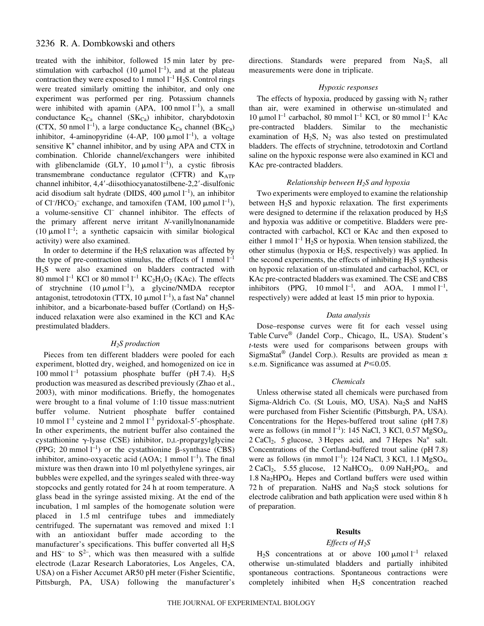# 3236 R. A. Dombkowski and others

treated with the inhibitor, followed 15 min later by prestimulation with carbachol (10  $\mu$ mol l<sup>-1</sup>), and at the plateau contraction they were exposed to 1 mmol  $l^{-1}$  H<sub>2</sub>S. Control rings were treated similarly omitting the inhibitor, and only one experiment was performed per ring. Potassium channels were inhibited with apamin (APA,  $100$  nmol  $l^{-1}$ ), a small conductance  $K_{Ca}$  channel  $(SK_{Ca})$  inhibitor, charybdotoxin (CTX, 50 nmol  $l^{-1}$ ), a large conductance  $K_{Ca}$  channel (B $K_{Ca}$ ) inhibitor, 4-aminopyridine (4-AP, 100  $\mu$ mol l<sup>-1</sup>), a voltage sensitive  $K^+$  channel inhibitor, and by using APA and CTX in combination. Chloride channel/exchangers were inhibited with glibenclamide (GLY, 10  $\mu$ mol l<sup>-1</sup>), a cystic fibrosis transmembrane conductance regulator (CFTR) and  $K_{ATP}$ channel inhibitor, 4,4-diisothiocyanatostilbene-2,2-disulfonic acid disodium salt hydrate (DIDS, 400  $\mu$ mol l<sup>-1</sup>), an inhibitor of Cl<sup>-</sup>/HCO<sub>3</sub><sup>-</sup> exchange, and tamoxifen (TAM, 100  $\mu$ mol l<sup>-1</sup>), a volume-sensitive Cl– channel inhibitor. The effects of the primary afferent nerve irritant *N*-vanillylnonanamide (10  $\mu$ mol l<sup>-1</sup>; a synthetic capsaicin with similar biological activity) were also examined.

In order to determine if the  $H_2S$  relaxation was affected by the type of pre-contraction stimulus, the effects of 1 mmol  $l^{-1}$ H2S were also examined on bladders contracted with 80 mmol  $l^{-1}$  KCl or 80 mmol  $l^{-1}$  KC<sub>2</sub>H<sub>3</sub>O<sub>2</sub> (KAc). The effects of strychnine  $(10 \mu \text{mol l}^{-1})$ , a glycine/NMDA receptor antagonist, tetrodotoxin (TTX, 10  $\mu$ mol l<sup>-1</sup>), a fast Na<sup>+</sup> channel inhibitor, and a bicarbonate-based buffer (Cortland) on  $H_2S$ induced relaxation were also examined in the KCl and KAc prestimulated bladders.

#### *H2S production*

Pieces from ten different bladders were pooled for each experiment, blotted dry, weighed, and homogenized on ice in 100 mmol  $l^{-1}$  potassium phosphate buffer (pH 7.4). H<sub>2</sub>S production was measured as described previously (Zhao et al., 2003), with minor modifications. Briefly, the homogenates were brought to a final volume of 1:10 tissue mass:nutrient buffer volume. Nutrient phosphate buffer contained 10 mmol  $l^{-1}$  cysteine and 2 mmol  $l^{-1}$  pyridoxal-5'-phosphate. In other experiments, the nutrient buffer also contained the cystathionine  $\gamma$ -lyase (CSE) inhibitor, D,L-propargylglycine (PPG; 20 mmol  $l^{-1}$ ) or the cystathionine  $\beta$ -synthase (CBS) inhibitor, amino-oxyacetic acid (AOA; 1 mmol  $l^{-1}$ ). The final mixture was then drawn into 10 ml polyethylene syringes, air bubbles were expelled, and the syringes sealed with three-way stopcocks and gently rotated for 24 h at room temperature. A glass bead in the syringe assisted mixing. At the end of the incubation, 1 ml samples of the homogenate solution were placed in 1.5 ml centrifuge tubes and immediately centrifuged. The supernatant was removed and mixed 1:1 with an antioxidant buffer made according to the manufacturer's specifications. This buffer converted all  $H_2S$ and  $HS^-$  to  $S^2$ , which was then measured with a sulfide electrode (Lazar Research Laboratories, Los Angeles, CA, USA) on a Fisher Accumet AR50 pH meter (Fisher Scientific, Pittsburgh, PA, USA) following the manufacturer's directions. Standards were prepared from Na<sub>2</sub>S, all measurements were done in triplicate.

#### *Hypoxic responses*

The effects of hypoxia, produced by gassing with  $N_2$  rather than air, were examined in otherwise un-stimulated and 10 μmol<sup>1-1</sup> carbachol, 80 mmol<sup>1-1</sup> KCl, or 80 mmol<sup>1-1</sup> KAc pre-contracted bladders. Similar to the mechanistic examination of  $H_2S$ ,  $N_2$  was also tested on prestimulated bladders. The effects of strychnine, tetrodotoxin and Cortland saline on the hypoxic response were also examined in KCl and KAc pre-contracted bladders.

# *Relationship between H2S and hypoxia*

Two experiments were employed to examine the relationship between  $H_2S$  and hypoxic relaxation. The first experiments were designed to determine if the relaxation produced by  $H_2S$ and hypoxia was additive or competitive. Bladders were precontracted with carbachol, KCl or KAc and then exposed to either 1 mmol  $l^{-1}$  H<sub>2</sub>S or hypoxia. When tension stabilized, the other stimulus (hypoxia or  $H_2S$ , respectively) was applied. In the second experiments, the effects of inhibiting  $H_2S$  synthesis on hypoxic relaxation of un-stimulated and carbachol, KCl, or KAc pre-contracted bladders was examined. The CSE and CBS inhibitors (PPG, 10 mmol  $l^{-1}$ , and AOA, 1 mmol  $l^{-1}$ , respectively) were added at least 15 min prior to hypoxia.

## *Data analysis*

Dose–response curves were fit for each vessel using Table Curve® (Jandel Corp., Chicago, IL, USA). Student's *t*-tests were used for comparisons between groups with SigmaStat<sup>®</sup> (Jandel Corp.). Results are provided as mean  $\pm$ s.e.m. Significance was assumed at  $P \le 0.05$ .

#### *Chemicals*

Unless otherwise stated all chemicals were purchased from Sigma-Aldrich Co. (St Louis, MO, USA). Na<sub>2</sub>S and NaHS were purchased from Fisher Scientific (Pittsburgh, PA, USA). Concentrations for the Hepes-buffered trout saline (pH 7.8) were as follows (in mmol  $l^{-1}$ ): 145 NaCl, 3 KCl, 0.57 MgSO<sub>4</sub>,  $2 \text{ CaCl}_2$ , 5 glucose, 3 Hepes acid, and 7 Hepes Na<sup>+</sup> salt. Concentrations of the Cortland-buffered trout saline (pH 7.8) were as follows (in mmol  $l^{-1}$ ): 124 NaCl, 3 KCl, 1.1 MgSO<sub>4</sub>,  $2~CaCl<sub>2</sub>$ , 5.55 glucose, 12 NaHCO<sub>3</sub>, 0.09 NaH<sub>2</sub>PO<sub>4</sub>, and 1.8 Na<sub>2</sub>HPO<sub>4</sub>. Hepes and Cortland buffers were used within 72 h of preparation. NaHS and Na<sub>2</sub>S stock solutions for electrode calibration and bath application were used within 8 h of preparation.

#### **Results**

# *Effects of H2S*

 $H_2S$  concentrations at or above 100  $\mu$ mol l<sup>-1</sup> relaxed otherwise un-stimulated bladders and partially inhibited spontaneous contractions. Spontaneous contractions were completely inhibited when H2S concentration reached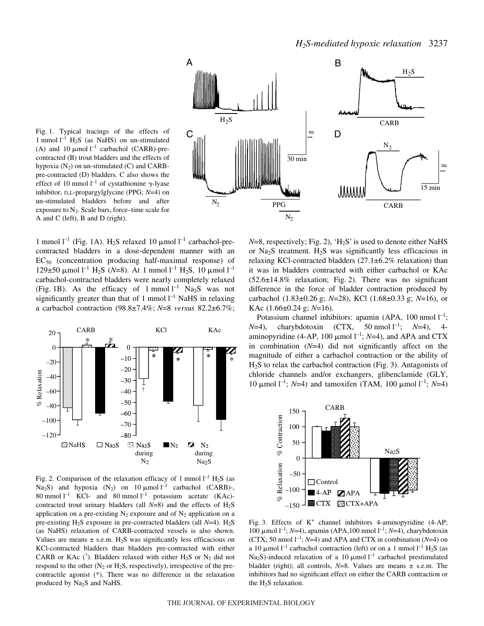



1 mmol  $l^{-1}$  (Fig. 1A). H<sub>2</sub>S relaxed 10  $\mu$ mol  $l^{-1}$  carbachol-precontracted bladders in a dose-dependent manner with an  $EC_{50}$  (concentration producing half-maximal response) of 129±50 μmol<sup>1-1</sup> H<sub>2</sub>S (N=8). At 1 mmol<sup>1-1</sup> H<sub>2</sub>S, 10 μmol<sup>1-1</sup> carbachol-contracted bladders were nearly completely relaxed (Fig. 1B). As the efficacy of 1 mmol  $l^{-1}$  Na<sub>2</sub>S was not significantly greater than that of 1 mmol  $l^{-1}$  NaHS in relaxing a carbachol contraction (98.8±7.4%; *N*=8 *versus* 82.2±6.7%;



Fig. 2. Comparison of the relaxation efficacy of 1 mmol  $l^{-1}$  H<sub>2</sub>S (as Na<sub>2</sub>S) and hypoxia  $(N_2)$  on 10  $\mu$ mol<sup>1-1</sup> carbachol (CARB)-, 80 mmol  $l^{-1}$  KCl- and 80 mmol  $l^{-1}$  potassium acetate (KAc)contracted trout urinary bladders (all  $N=8$ ) and the effects of  $H_2S$ application on a pre-existing  $N_2$  exposure and of  $N_2$  application on a pre-existing H<sub>2</sub>S exposure in pre-contracted bladders (all *N*=4). H<sub>2</sub>S (as NaHS) relaxation of CARB-contracted vessels is also shown. Values are means  $\pm$  s.e.m. H<sub>2</sub>S was significantly less efficacious on KCl-contracted bladders than bladders pre-contracted with either CARB or KAc ( $\dot{\ }$ ). Bladders relaxed with either H<sub>2</sub>S or N<sub>2</sub> did not respond to the other  $(N_2 \text{ or } H_2S)$ , respectively), irrespective of the precontractile agonist (\*). There was no difference in the relaxation  $\begin{bmatrix} 5 & -40 \\ 24 & -60 \\ 38 & -80 \\ 40 & -100 \end{bmatrix}$ <br>  $-120$ <br>  $-120$ <br>  $\Box$  NaHS  $\Box$  Na<sub>2</sub>S<br>
Fig. 2. Comparison of the relaxing  $N_2$ <br>
80 mmol 1<sup>-1</sup> KCl- and 80<br>
contracted trout urinary blade<br>
application on a pre-existing 1<br>
p

 $N=8$ , respectively; Fig. 2), 'H<sub>2</sub>S' is used to denote either NaHS or Na<sub>2</sub>S treatment.  $H_2S$  was significantly less efficacious in relaxing KCl-contracted bladders  $(27.1\pm6.2\%$  relaxation) than it was in bladders contracted with either carbachol or KAc  $(52.6\pm14.8\%$  relaxation; Fig. 2). There was no significant difference in the force of bladder contraction produced by carbachol (1.83±0.26 g; *N*=28), KCl (1.68±0.33 g; *N*=16), or KAc (1.66±0.24 g; *N*=16).

Potassium channel inhibitors: apamin (APA, 100 nmol  $l^{-1}$ ;  $N=4$ ), charybdotoxin (CTX, 50 nmol  $1^{-1}$ ; *N*=4), 4aminopyridine (4-AP, 100  $\mu$ mol l<sup>-1</sup>; *N*=4), and APA and CTX in combination (*N*=4) did not significantly affect on the magnitude of either a carbachol contraction or the ability of  $H<sub>2</sub>S$  to relax the carbachol contraction (Fig. 3). Antagonists of chloride channels and/or exchangers, glibenclamide (GLY, 10 μmol<sup>1-1</sup>; *N*=4) and tamoxifen (TAM, 100 μmol<sup>1-1</sup>; *N*=4)



Fig. 3. Effects of  $K^+$  channel inhibitors 4-aminopyridine (4-AP; 100 μmol 1<sup>-1</sup>; *N*=4), apamin (APA,100 nmol 1<sup>-1</sup>; *N*=4), charybdotoxin (CTX; 50 nmol  $l^{-1}$ ; *N*=4) and APA and CTX in combination (*N*=4) on a 10  $\mu$ mol l<sup>-1</sup> carbachol contraction (left) or on a 1 mmol l<sup>-1</sup> H<sub>2</sub>S (as Na<sub>2</sub>S)-induced relaxation of a 10  $\mu$ mol<sup>1-1</sup> carbachol prestimulated bladder (right); all controls,  $N=8$ . Values are means  $\pm$  s.e.m. The inhibitors had no significant effect on either the CARB contraction or the  $H_2S$  relaxation.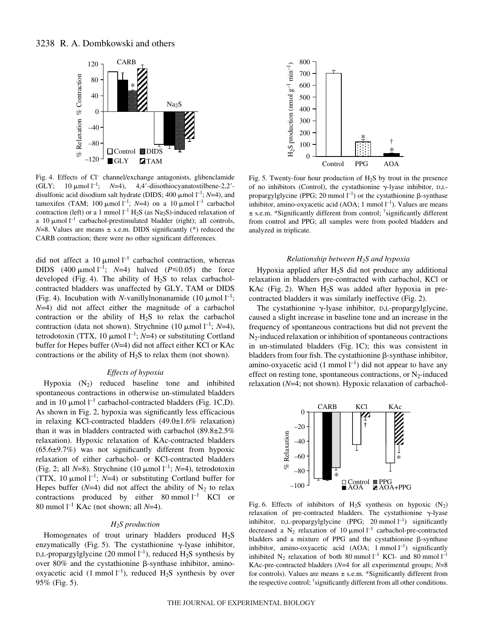# 3238 R. A. Dombkowski and others



Fig. 4. Effects of Cl<sup>-</sup> channel/exchange antagonists, glibenclamide (GLY; 10  $\mu$ mol l<sup>-1</sup>; *N*=4), 4,4'-diisothiocyanatostilbene-2,2'disulfonic acid disodium salt hydrate (DIDS;  $400 \mu$ mol  $l^{-1}$ ; *N*=4), and tamoxifen (TAM; 100  $\mu$ mol l<sup>-1</sup>; *N*=4) on a 10  $\mu$ mol l<sup>-1</sup> carbachol contraction (left) or a 1 mmol  $l^{-1}$  H<sub>2</sub>S (as Na<sub>2</sub>S)-induced relaxation of a 10  $\mu$ mol<sup>1-1</sup> carbachol-prestimulated bladder (right); all controls,  $N=8$ . Values are means  $\pm$  s.e.m. DIDS significantly (\*) reduced the CARB contraction; there were no other significant differences.

did not affect a 10  $\mu$ mol l<sup>-1</sup> carbachol contraction, whereas DIDS  $(400 \text{ }\mu\text{mol l}^{-1}; N=4)$  halved  $(P \le 0.05)$  the force developed (Fig. 4). The ability of  $H_2S$  to relax carbacholcontracted bladders was unaffected by GLY, TAM or DIDS (Fig. 4). Incubation with *N*-vanillylnonanamide (10  $\mu$ mol l<sup>-1</sup>; *N*=4) did not affect either the magnitude of a carbachol contraction or the ability of  $H_2S$  to relax the carbachol contraction (data not shown). Strychnine (10  $\mu$ mol<sup>1-1</sup>; *N*=4), tetrodotoxin (TTX, 10  $\mu$ mol l<sup>-1</sup>; *N*=4) or substituting Cortland buffer for Hepes buffer (*N*=4) did not affect either KCl or KAc contractions or the ability of  $H_2S$  to relax them (not shown).

## *Effects of hypoxia*

Hypoxia  $(N_2)$  reduced baseline tone and inhibited spontaneous contractions in otherwise un-stimulated bladders and in 10  $\mu$ mol l<sup>-1</sup> carbachol-contracted bladders (Fig. 1C,D). As shown in Fig. 2, hypoxia was significantly less efficacious in relaxing KCl-contracted bladders (49.0±1.6% relaxation) than it was in bladders contracted with carbachol (89.8±2.5% relaxation). Hypoxic relaxation of KAc-contracted bladders  $(65.6\pm9.7\%)$  was not significantly different from hypoxic relaxation of either carbachol- or KCl-contracted bladders (Fig. 2; all  $N=8$ ). Strychnine (10  $\mu$ mol l<sup>-1</sup>; *N*=4), tetrodotoxin (TTX, 10  $\mu$ mol l<sup>-1</sup>; *N*=4) or substituting Cortland buffer for Hepes buffer  $(N=4)$  did not affect the ability of  $N_2$  to relax contractions produced by either  $80 \text{ mmol } l^{-1}$  KCl or 80 mmol  $l^{-1}$  KAc (not shown; all  $N=4$ ).

#### *H2S production*

Homogenates of trout urinary bladders produced  $H_2S$ enzymatically (Fig. 5). The cystathionine  $\gamma$ -lyase inhibitor, D,L-propargylglycine (20 mmol  $l^{-1}$ ), reduced  $H_2S$  synthesis by over  $80\%$  and the cystathionine  $\beta$ -synthase inhibitor, aminooxyacetic acid (1 mmol  $l^{-1}$ ), reduced H<sub>2</sub>S synthesis by over 95% (Fig. 5).



Fig. 5. Twenty-four hour production of  $H_2S$  by trout in the presence of no inhibitors (Control), the cystathionine  $\gamma$ -lyase inhibitor, D,Lpropargylglycine (PPG; 20 mmol  $l^{-1}$ ) or the cystathionine  $\beta$ -synthase inhibitor, amino-oxyacetic acid (AOA; 1 mmol  $l^{-1}$ ). Values are means ± s.e.m. \*Significantly different from control; † significantly different from control and PPG; all samples were from pooled bladders and analyzed in triplicate.

#### *Relationship between H2S and hypoxia*

Hypoxia applied after  $H_2S$  did not produce any additional relaxation in bladders pre-contracted with carbachol, KCl or KAc (Fig. 2). When  $H_2S$  was added after hypoxia in precontracted bladders it was similarly ineffective (Fig. 2).

The cystathionine  $\gamma$ -lyase inhibitor, D,L-propargylglycine, caused a slight increase in baseline tone and an increase in the frequency of spontaneous contractions but did not prevent the  $N<sub>2</sub>$ -induced relaxation or inhibition of spontaneous contractions in un-stimulated bladders (Fig. 1C); this was consistent in  $b$ ladders from four fish. The cystathionine  $\beta$ -synthase inhibitor, amino-oxyacetic acid  $(1 \text{ mmol } l^{-1})$  did not appear to have any effect on resting tone, spontaneous contractions, or  $N_2$ -induced relaxation (*N*=4; not shown). Hypoxic relaxation of carbachol-



Fig. 6. Effects of inhibitors of  $H_2S$  synthesis on hypoxic  $(N_2)$ relaxation of pre-contracted bladders. The cystathionine  $\gamma$ -lyase inhibitor, D,L-propargylglycine (PPG; 20 mmol  $l^{-1}$ ) significantly decreased a  $N_2$  relaxation of 10  $\mu$ mol l<sup>-1</sup> carbachol-pre-contracted bladders and a mixture of PPG and the cystathionine  $\beta$ -synthase inhibitor, amino-oxyacetic acid  $(AOA; 1 mmol 1<sup>-1</sup>)$  significantly inhibited  $N_2$  relaxation of both 80 mmol  $l^{-1}$  KCl- and 80 mmol  $l^{-1}$ KAc-pre-contracted bladders (*N*=4 for all experimental groups; *N*=8 for controls). Values are means  $\pm$  s.e.m. \*Significantly different from the respective control; † significantly different from all other conditions.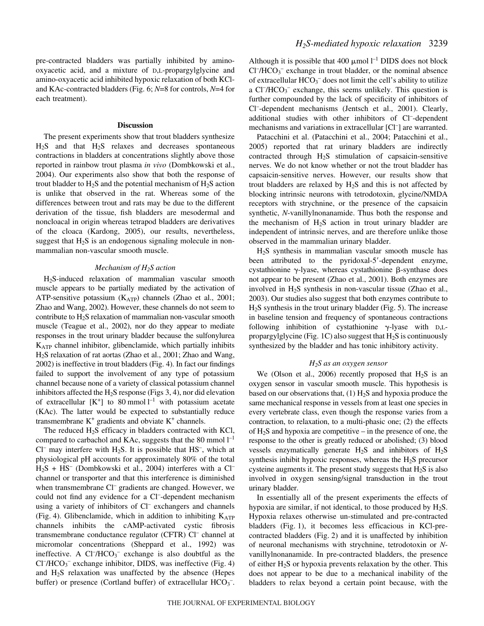pre-contracted bladders was partially inhibited by aminooxyacetic acid, and a mixture of D,L-propargylglycine and amino-oxyacetic acid inhibited hypoxic relaxation of both KCland KAc-contracted bladders (Fig. 6; *N*=8 for controls, *N*=4 for each treatment).

# **Discussion**

The present experiments show that trout bladders synthesize  $H<sub>2</sub>S$  and that  $H<sub>2</sub>S$  relaxes and decreases spontaneous contractions in bladders at concentrations slightly above those reported in rainbow trout plasma *in vivo* (Dombkowski et al., 2004). Our experiments also show that both the response of trout bladder to  $H_2S$  and the potential mechanism of  $H_2S$  action is unlike that observed in the rat. Whereas some of the differences between trout and rats may be due to the different derivation of the tissue, fish bladders are mesodermal and noncloacal in origin whereas tetrapod bladders are derivatives of the cloaca (Kardong, 2005), our results, nevertheless, suggest that  $H_2S$  is an endogenous signaling molecule in nonmammalian non-vascular smooth muscle.

#### *Mechanism of H2S action*

H2S-induced relaxation of mammalian vascular smooth muscle appears to be partially mediated by the activation of ATP-sensitive potassium  $(K_{ATP})$  channels (Zhao et al., 2001; Zhao and Wang, 2002). However, these channels do not seem to contribute to H2S relaxation of mammalian non-vascular smooth muscle (Teague et al., 2002), nor do they appear to mediate responses in the trout urinary bladder because the sulfonylurea KATP channel inhibitor, glibenclamide, which partially inhibits H2S relaxation of rat aortas (Zhao et al., 2001; Zhao and Wang, 2002) is ineffective in trout bladders (Fig. 4). In fact our findings failed to support the involvement of any type of potassium channel because none of a variety of classical potassium channel inhibitors affected the  $H_2S$  response (Figs 3, 4), nor did elevation of extracellular  $[K^+]$  to 80 mmol  $l^{-1}$  with potassium acetate (KAc). The latter would be expected to substantially reduce transmembrane  $K^+$  gradients and obviate  $K^+$  channels.

The reduced  $H_2S$  efficacy in bladders contracted with KCl, compared to carbachol and KAc, suggests that the 80 mmol  $l^{-1}$  $Cl^-$  may interfere with  $H_2S$ . It is possible that  $HS^-$ , which at physiological pH accounts for approximately 80% of the total  $H_2S + HS^-$  (Dombkowski et al., 2004) interferes with a Cl<sup>-</sup> channel or transporter and that this interference is diminished when transmembrane Cl<sup>–</sup> gradients are changed. However, we could not find any evidence for a Cl<sup>-</sup>-dependent mechanism using a variety of inhibitors of Cl<sup>–</sup> exchangers and channels (Fig. 4). Glibenclamide, which in addition to inhibiting  $K_{ATP}$ channels inhibits the cAMP-activated cystic fibrosis transmembrane conductance regulator (CFTR) Cl– channel at micromolar concentrations (Sheppard et al., 1992) was ineffective. A  $Cl^-/HCO_3^-$  exchange is also doubtful as the  $Cl^-/HCO_3^-$  exchange inhibitor, DIDS, was ineffective (Fig. 4) and  $H_2S$  relaxation was unaffected by the absence (Hepes buffer) or presence (Cortland buffer) of extracellular  $HCO_3^-$ .

Although it is possible that 400  $\mu$ mol  $l^{-1}$  DIDS does not block  $Cl^-/HCO_3^-$  exchange in trout bladder, or the nominal absence of extracellular  $HCO_3^-$  does not limit the cell's ability to utilize a Cl<sup>-</sup>/HCO<sub>3</sub><sup>-</sup> exchange, this seems unlikely. This question is further compounded by the lack of specificity of inhibitors of Cl– -dependent mechanisms (Jentsch et al., 2001). Clearly, additional studies with other inhibitors of Cl-dependent mechanisms and variations in extracellular [Cl– ] are warranted.

Patacchini et al. (Patacchini et al., 2004; Patacchini et al., 2005) reported that rat urinary bladders are indirectly contracted through H2S stimulation of capsaicin-sensitive nerves. We do not know whether or not the trout bladder has capsaicin-sensitive nerves. However, our results show that trout bladders are relaxed by  $H_2S$  and this is not affected by blocking intrinsic neurons with tetrodotoxin, glycine/NMDA receptors with strychnine, or the presence of the capsaicin synthetic, *N*-vanillylnonanamide. Thus both the response and the mechanism of  $H_2S$  action in trout urinary bladder are independent of intrinsic nerves, and are therefore unlike those observed in the mammalian urinary bladder.

H2S synthesis in mammalian vascular smooth muscle has been attributed to the pyridoxal-5'-dependent enzyme, cystathionine  $\gamma$ -lyase, whereas cystathionine  $\beta$ -synthase does not appear to be present (Zhao et al., 2001). Both enzymes are involved in  $H_2S$  synthesis in non-vascular tissue (Zhao et al., 2003). Our studies also suggest that both enzymes contribute to  $H<sub>2</sub>S$  synthesis in the trout urinary bladder (Fig. 5). The increase in baseline tension and frequency of spontaneous contractions following inhibition of cystathionine  $\gamma$ -lyase with D,Lpropargylglycine (Fig. 1C) also suggest that  $H_2S$  is continuously synthesized by the bladder and has tonic inhibitory activity.

#### *H2S as an oxygen sensor*

We (Olson et al., 2006) recently proposed that  $H_2S$  is an oxygen sensor in vascular smooth muscle. This hypothesis is based on our observations that,  $(1)$  H<sub>2</sub>S and hypoxia produce the same mechanical response in vessels from at least one species in every vertebrate class, even though the response varies from a contraction, to relaxation, to a multi-phasic one; (2) the effects of  $H_2S$  and hypoxia are competitive – in the presence of one, the response to the other is greatly reduced or abolished; (3) blood vessels enzymatically generate  $H_2S$  and inhibitors of  $H_2S$ synthesis inhibit hypoxic responses, whereas the  $H_2S$  precursor cysteine augments it. The present study suggests that  $H_2S$  is also involved in oxygen sensing/signal transduction in the trout urinary bladder.

In essentially all of the present experiments the effects of hypoxia are similar, if not identical, to those produced by  $H_2S$ . Hypoxia relaxes otherwise un-stimulated and pre-contracted bladders (Fig. 1), it becomes less efficacious in KCl-precontracted bladders (Fig. 2) and it is unaffected by inhibition of neuronal mechanisms with strychnine, tetrodotoxin or *N*vanillylnonanamide. In pre-contracted bladders, the presence of either  $H_2S$  or hypoxia prevents relaxation by the other. This does not appear to be due to a mechanical inability of the bladders to relax beyond a certain point because, with the